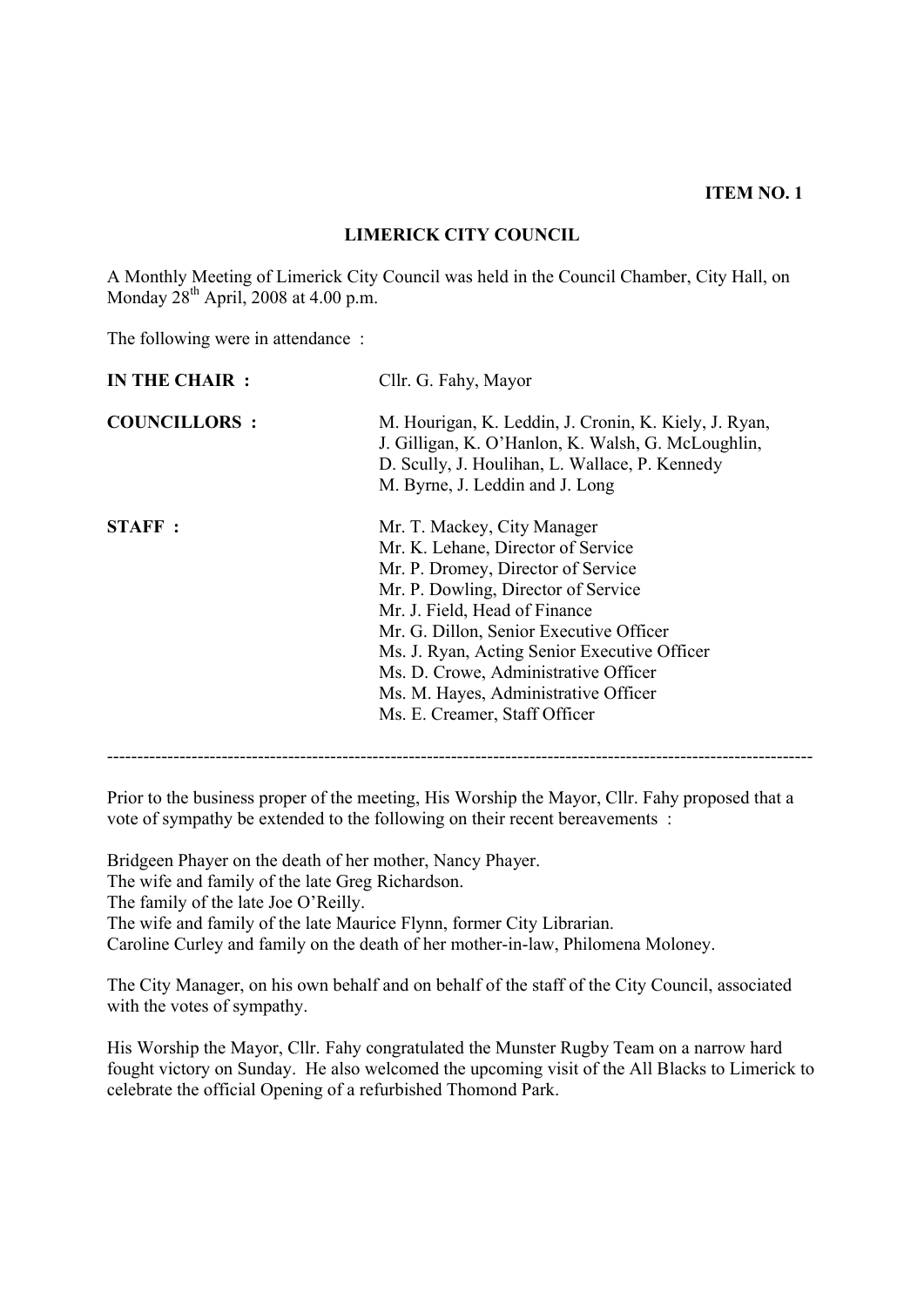**ITEM NO. 1**

#### **LIMERICK CITY COUNCIL**

A Monthly Meeting of Limerick City Council was held in the Council Chamber, City Hall, on Monday  $28^{th}$  April, 2008 at 4.00 p.m.

The following were in attendance:

| IN THE CHAIR :      | Cllr. G. Fahy, Mayor                                                                                                                                                                                                                                                                                                                                                                        |  |
|---------------------|---------------------------------------------------------------------------------------------------------------------------------------------------------------------------------------------------------------------------------------------------------------------------------------------------------------------------------------------------------------------------------------------|--|
| <b>COUNCILLORS:</b> | M. Hourigan, K. Leddin, J. Cronin, K. Kiely, J. Ryan,<br>J. Gilligan, K. O'Hanlon, K. Walsh, G. McLoughlin,<br>D. Scully, J. Houlihan, L. Wallace, P. Kennedy<br>M. Byrne, J. Leddin and J. Long                                                                                                                                                                                            |  |
| <b>STAFF:</b>       | Mr. T. Mackey, City Manager<br>Mr. K. Lehane, Director of Service<br>Mr. P. Dromey, Director of Service<br>Mr. P. Dowling, Director of Service<br>Mr. J. Field, Head of Finance<br>Mr. G. Dillon, Senior Executive Officer<br>Ms. J. Ryan, Acting Senior Executive Officer<br>Ms. D. Crowe, Administrative Officer<br>Ms. M. Hayes, Administrative Officer<br>Ms. E. Creamer, Staff Officer |  |

Prior to the business proper of the meeting, His Worship the Mayor, Cllr. Fahy proposed that a vote of sympathy be extended to the following on their recent bereavements :

Bridgeen Phayer on the death of her mother, Nancy Phayer.

The wife and family of the late Greg Richardson.

The family of the late Joe O'Reilly.

The wife and family of the late Maurice Flynn, former City Librarian.

Caroline Curley and family on the death of her mother-in-law, Philomena Moloney.

The City Manager, on his own behalf and on behalf of the staff of the City Council, associated with the votes of sympathy.

His Worship the Mayor, Cllr. Fahy congratulated the Munster Rugby Team on a narrow hard fought victory on Sunday. He also welcomed the upcoming visit of the All Blacks to Limerick to celebrate the official Opening of a refurbished Thomond Park.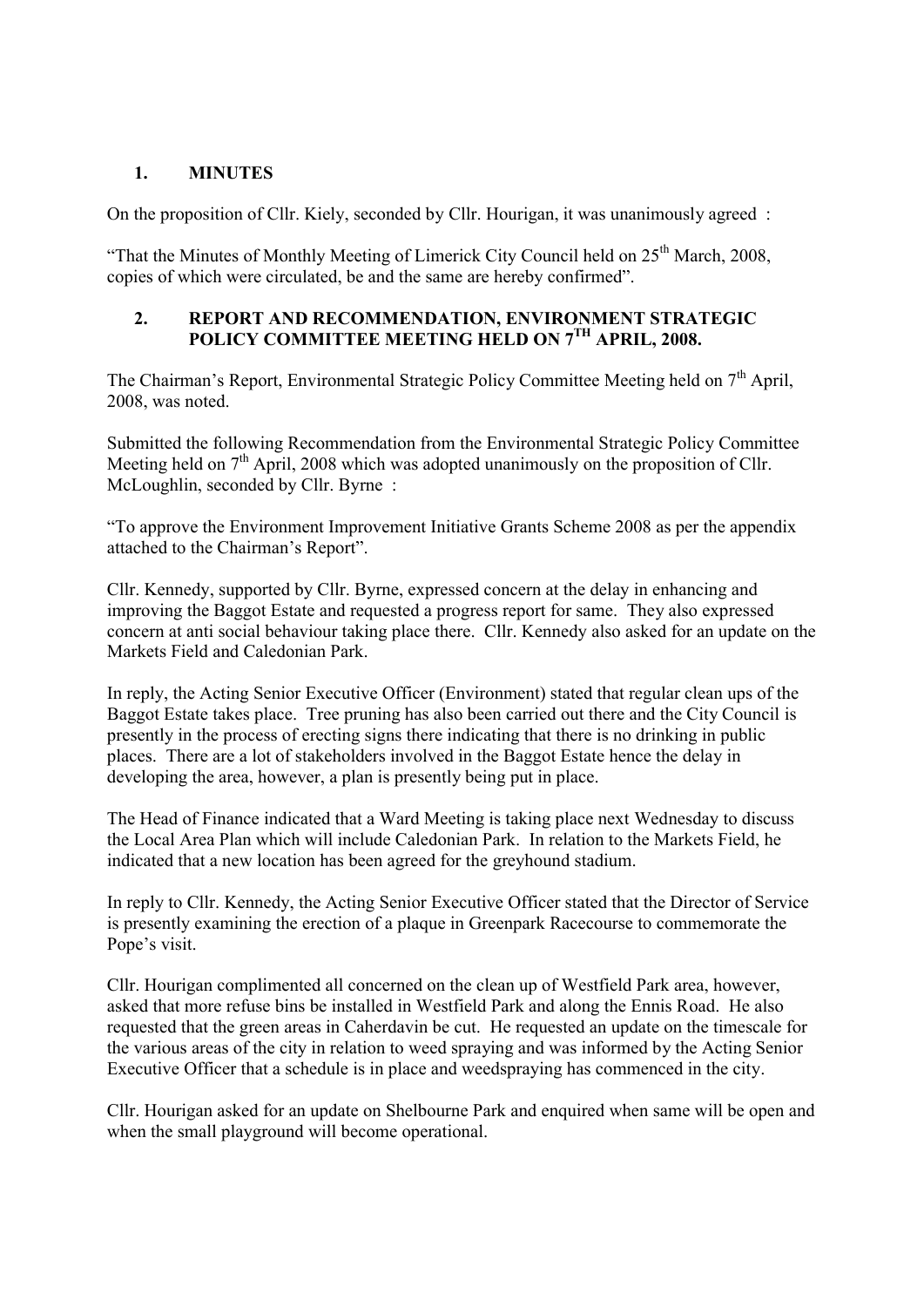#### **1. MINUTES**

On the proposition of Cllr. Kiely, seconded by Cllr. Hourigan, it was unanimously agreed :

"That the Minutes of Monthly Meeting of Limerick City Council held on  $25<sup>th</sup>$  March, 2008, copies of which were circulated, be and the same are hereby confirmed".

#### **2. REPORT AND RECOMMENDATION, ENVIRONMENT STRATEGIC**  POLICY COMMITTEE MEETING HELD ON 7<sup>TH</sup> APRIL, 2008.

The Chairman's Report, Environmental Strategic Policy Committee Meeting held on  $7<sup>th</sup>$  April, 2008, was noted.

Submitted the following Recommendation from the Environmental Strategic Policy Committee Meeting held on  $7<sup>th</sup>$  April, 2008 which was adopted unanimously on the proposition of Cllr. McLoughlin, seconded by Cllr. Byrne :

"To approve the Environment Improvement Initiative Grants Scheme 2008 as per the appendix attached to the Chairman's Report".

Cllr. Kennedy, supported by Cllr. Byrne, expressed concern at the delay in enhancing and improving the Baggot Estate and requested a progress report for same. They also expressed concern at anti social behaviour taking place there. Cllr. Kennedy also asked for an update on the Markets Field and Caledonian Park.

In reply, the Acting Senior Executive Officer (Environment) stated that regular clean ups of the Baggot Estate takes place. Tree pruning has also been carried out there and the City Council is presently in the process of erecting signs there indicating that there is no drinking in public places. There are a lot of stakeholders involved in the Baggot Estate hence the delay in developing the area, however, a plan is presently being put in place.

The Head of Finance indicated that a Ward Meeting is taking place next Wednesday to discuss the Local Area Plan which will include Caledonian Park. In relation to the Markets Field, he indicated that a new location has been agreed for the greyhound stadium.

In reply to Cllr. Kennedy, the Acting Senior Executive Officer stated that the Director of Service is presently examining the erection of a plaque in Greenpark Racecourse to commemorate the Pope's visit.

Cllr. Hourigan complimented all concerned on the clean up of Westfield Park area, however, asked that more refuse bins be installed in Westfield Park and along the Ennis Road. He also requested that the green areas in Caherdavin be cut. He requested an update on the timescale for the various areas of the city in relation to weed spraying and was informed by the Acting Senior Executive Officer that a schedule is in place and weedspraying has commenced in the city.

Cllr. Hourigan asked for an update on Shelbourne Park and enquired when same will be open and when the small playground will become operational.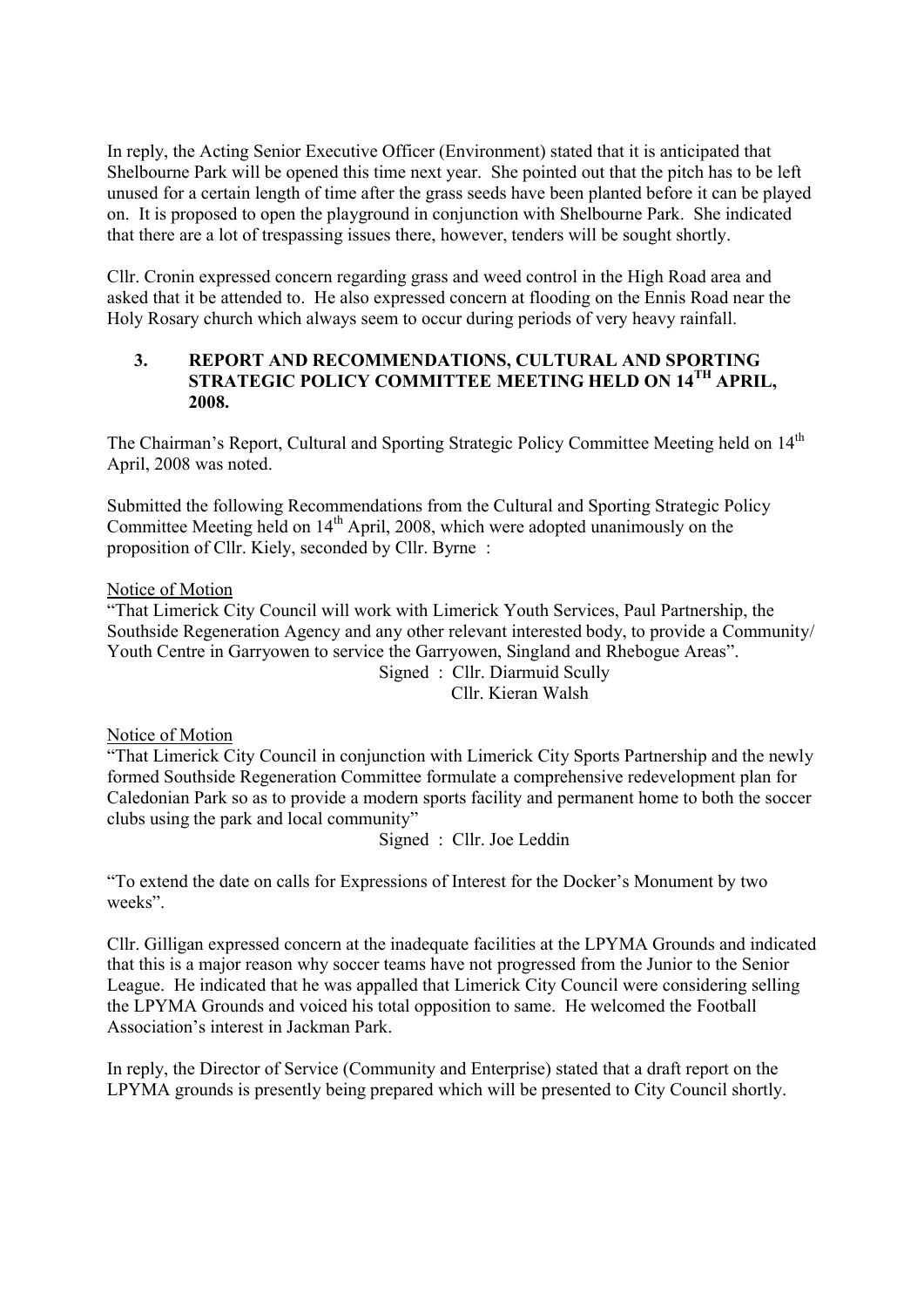In reply, the Acting Senior Executive Officer (Environment) stated that it is anticipated that Shelbourne Park will be opened this time next year. She pointed out that the pitch has to be left unused for a certain length of time after the grass seeds have been planted before it can be played on. It is proposed to open the playground in conjunction with Shelbourne Park. She indicated that there are a lot of trespassing issues there, however, tenders will be sought shortly.

Cllr. Cronin expressed concern regarding grass and weed control in the High Road area and asked that it be attended to. He also expressed concern at flooding on the Ennis Road near the Holy Rosary church which always seem to occur during periods of very heavy rainfall.

#### **3. REPORT AND RECOMMENDATIONS, CULTURAL AND SPORTING STRATEGIC POLICY COMMITTEE MEETING HELD ON 14TH APRIL, 2008.**

The Chairman's Report, Cultural and Sporting Strategic Policy Committee Meeting held on 14<sup>th</sup> April, 2008 was noted.

Submitted the following Recommendations from the Cultural and Sporting Strategic Policy Committee Meeting held on 14<sup>th</sup> April, 2008, which were adopted unanimously on the proposition of Cllr. Kiely, seconded by Cllr. Byrne :

#### Notice of Motion

"That Limerick City Council will work with Limerick Youth Services, Paul Partnership, the Southside Regeneration Agency and any other relevant interested body, to provide a Community/ Youth Centre in Garryowen to service the Garryowen, Singland and Rhebogue Areas". Signed : Cllr. Diarmuid Scully

Cllr. Kieran Walsh

#### Notice of Motion

"That Limerick City Council in conjunction with Limerick City Sports Partnership and the newly formed Southside Regeneration Committee formulate a comprehensive redevelopment plan for Caledonian Park so as to provide a modern sports facility and permanent home to both the soccer clubs using the park and local community"

Signed : Cllr. Joe Leddin

"To extend the date on calls for Expressions of Interest for the Docker's Monument by two weeks".

Cllr. Gilligan expressed concern at the inadequate facilities at the LPYMA Grounds and indicated that this is a major reason why soccer teams have not progressed from the Junior to the Senior League. He indicated that he was appalled that Limerick City Council were considering selling the LPYMA Grounds and voiced his total opposition to same. He welcomed the Football Association's interest in Jackman Park.

In reply, the Director of Service (Community and Enterprise) stated that a draft report on the LPYMA grounds is presently being prepared which will be presented to City Council shortly.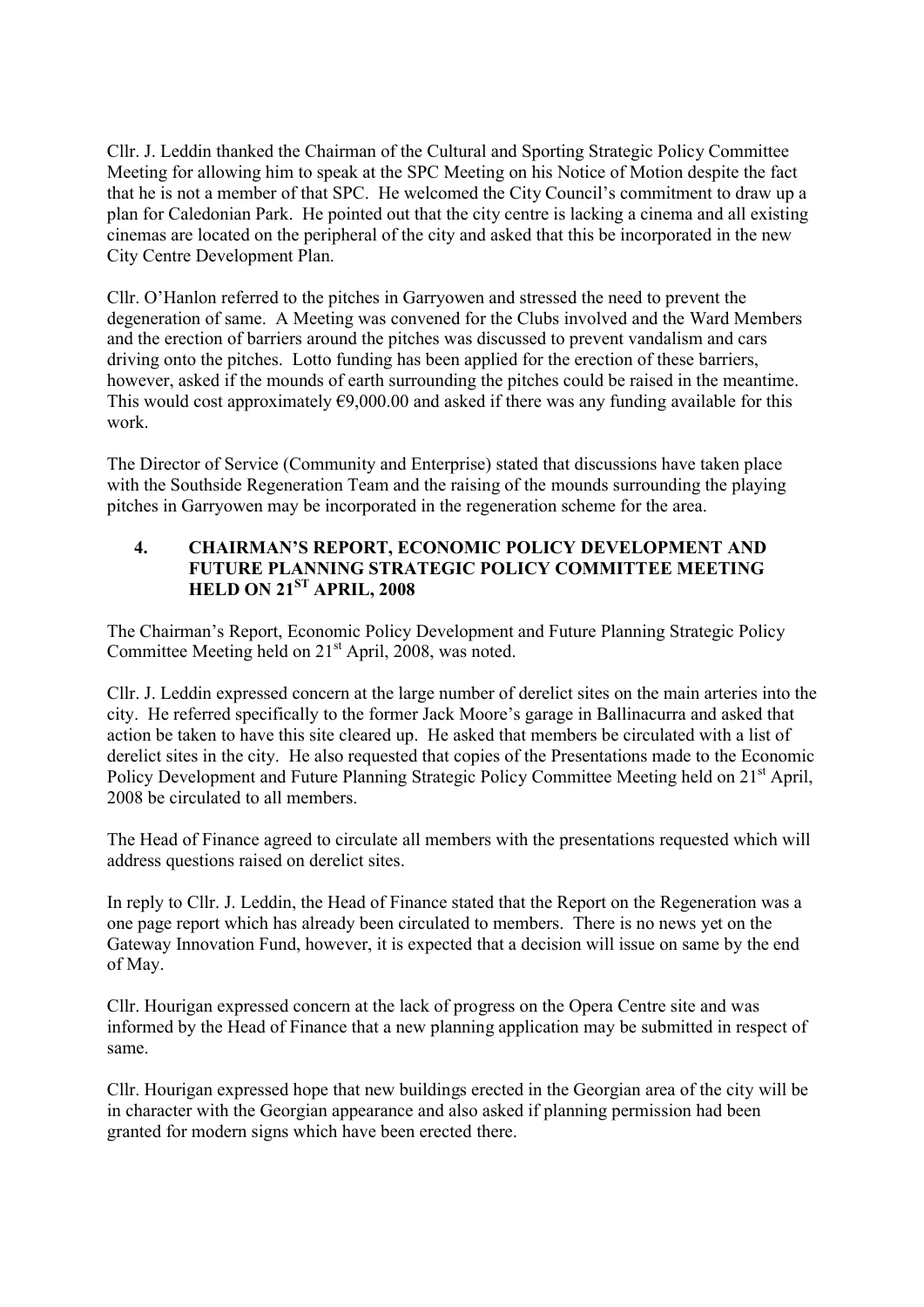Cllr. J. Leddin thanked the Chairman of the Cultural and Sporting Strategic Policy Committee Meeting for allowing him to speak at the SPC Meeting on his Notice of Motion despite the fact that he is not a member of that SPC. He welcomed the City Council's commitment to draw up a plan for Caledonian Park. He pointed out that the city centre is lacking a cinema and all existing cinemas are located on the peripheral of the city and asked that this be incorporated in the new City Centre Development Plan.

Cllr. O'Hanlon referred to the pitches in Garryowen and stressed the need to prevent the degeneration of same. A Meeting was convened for the Clubs involved and the Ward Members and the erection of barriers around the pitches was discussed to prevent vandalism and cars driving onto the pitches. Lotto funding has been applied for the erection of these barriers, however, asked if the mounds of earth surrounding the pitches could be raised in the meantime. This would cost approximately  $\epsilon$ 9,000.00 and asked if there was any funding available for this work.

The Director of Service (Community and Enterprise) stated that discussions have taken place with the Southside Regeneration Team and the raising of the mounds surrounding the playing pitches in Garryowen may be incorporated in the regeneration scheme for the area.

#### **4. CHAIRMAN'S REPORT, ECONOMIC POLICY DEVELOPMENT AND FUTURE PLANNING STRATEGIC POLICY COMMITTEE MEETING HELD ON 21ST APRIL, 2008**

The Chairman's Report, Economic Policy Development and Future Planning Strategic Policy Committee Meeting held on  $21<sup>st</sup>$  April, 2008, was noted.

Cllr. J. Leddin expressed concern at the large number of derelict sites on the main arteries into the city. He referred specifically to the former Jack Moore's garage in Ballinacurra and asked that action be taken to have this site cleared up. He asked that members be circulated with a list of derelict sites in the city. He also requested that copies of the Presentations made to the Economic Policy Development and Future Planning Strategic Policy Committee Meeting held on 21<sup>st</sup> April, 2008 be circulated to all members.

The Head of Finance agreed to circulate all members with the presentations requested which will address questions raised on derelict sites.

In reply to Cllr. J. Leddin, the Head of Finance stated that the Report on the Regeneration was a one page report which has already been circulated to members. There is no news yet on the Gateway Innovation Fund, however, it is expected that a decision will issue on same by the end of May.

Cllr. Hourigan expressed concern at the lack of progress on the Opera Centre site and was informed by the Head of Finance that a new planning application may be submitted in respect of same.

Cllr. Hourigan expressed hope that new buildings erected in the Georgian area of the city will be in character with the Georgian appearance and also asked if planning permission had been granted for modern signs which have been erected there.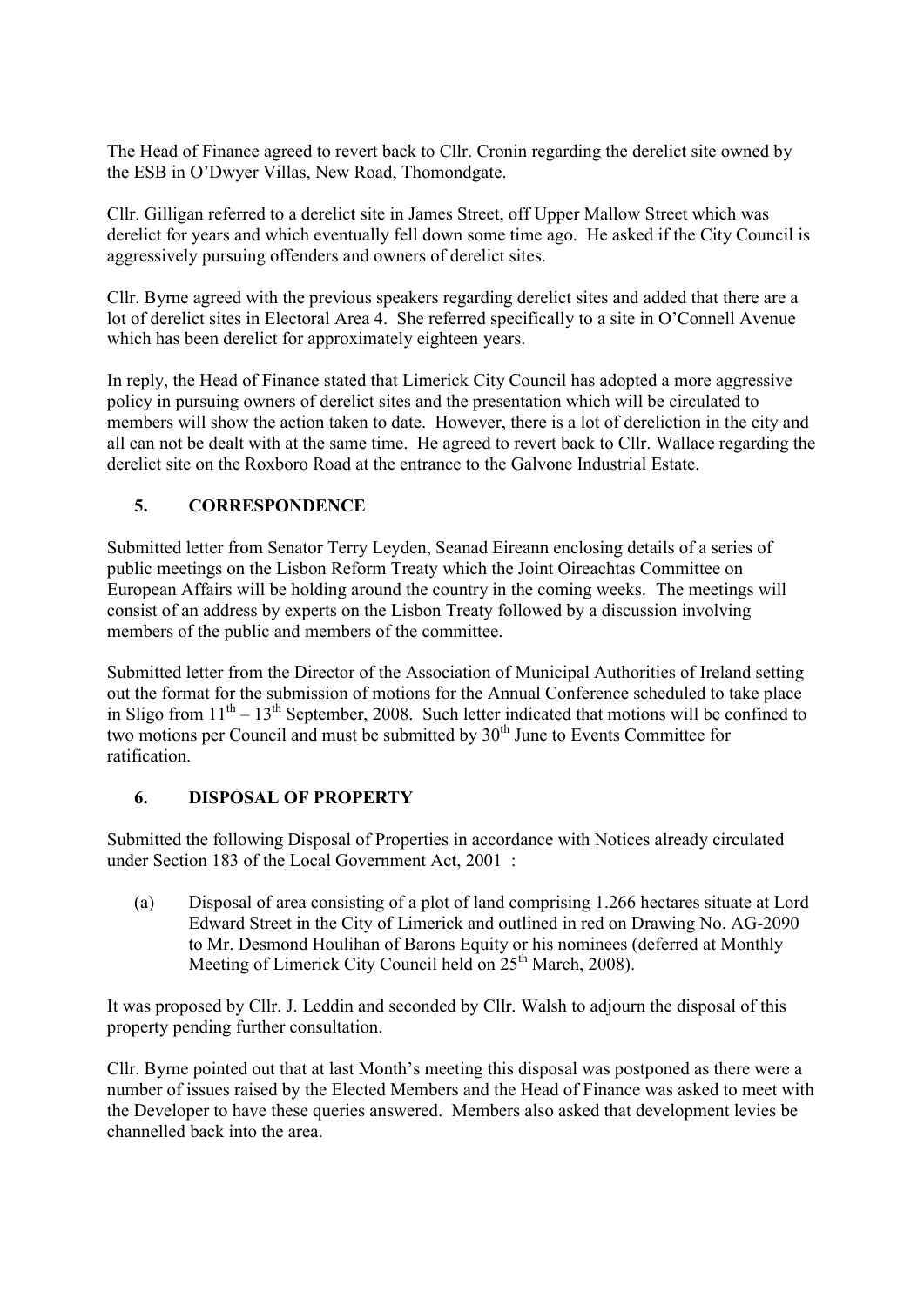The Head of Finance agreed to revert back to Cllr. Cronin regarding the derelict site owned by the ESB in O'Dwyer Villas, New Road, Thomondgate.

Cllr. Gilligan referred to a derelict site in James Street, off Upper Mallow Street which was derelict for years and which eventually fell down some time ago. He asked if the City Council is aggressively pursuing offenders and owners of derelict sites.

Cllr. Byrne agreed with the previous speakers regarding derelict sites and added that there are a lot of derelict sites in Electoral Area 4. She referred specifically to a site in O'Connell Avenue which has been derelict for approximately eighteen years.

In reply, the Head of Finance stated that Limerick City Council has adopted a more aggressive policy in pursuing owners of derelict sites and the presentation which will be circulated to members will show the action taken to date. However, there is a lot of dereliction in the city and all can not be dealt with at the same time. He agreed to revert back to Cllr. Wallace regarding the derelict site on the Roxboro Road at the entrance to the Galvone Industrial Estate.

# **5. CORRESPONDENCE**

Submitted letter from Senator Terry Leyden, Seanad Eireann enclosing details of a series of public meetings on the Lisbon Reform Treaty which the Joint Oireachtas Committee on European Affairs will be holding around the country in the coming weeks. The meetings will consist of an address by experts on the Lisbon Treaty followed by a discussion involving members of the public and members of the committee.

Submitted letter from the Director of the Association of Municipal Authorities of Ireland setting out the format for the submission of motions for the Annual Conference scheduled to take place in Sligo from  $11<sup>th</sup> - 13<sup>th</sup>$  September, 2008. Such letter indicated that motions will be confined to two motions per Council and must be submitted by  $30<sup>th</sup>$  June to Events Committee for ratification.

# **6. DISPOSAL OF PROPERTY**

Submitted the following Disposal of Properties in accordance with Notices already circulated under Section 183 of the Local Government Act, 2001 :

(a) Disposal of area consisting of a plot of land comprising 1.266 hectares situate at Lord Edward Street in the City of Limerick and outlined in red on Drawing No. AG-2090 to Mr. Desmond Houlihan of Barons Equity or his nominees (deferred at Monthly Meeting of Limerick City Council held on  $25<sup>th</sup>$  March, 2008).

It was proposed by Cllr. J. Leddin and seconded by Cllr. Walsh to adjourn the disposal of this property pending further consultation.

Cllr. Byrne pointed out that at last Month's meeting this disposal was postponed as there were a number of issues raised by the Elected Members and the Head of Finance was asked to meet with the Developer to have these queries answered. Members also asked that development levies be channelled back into the area.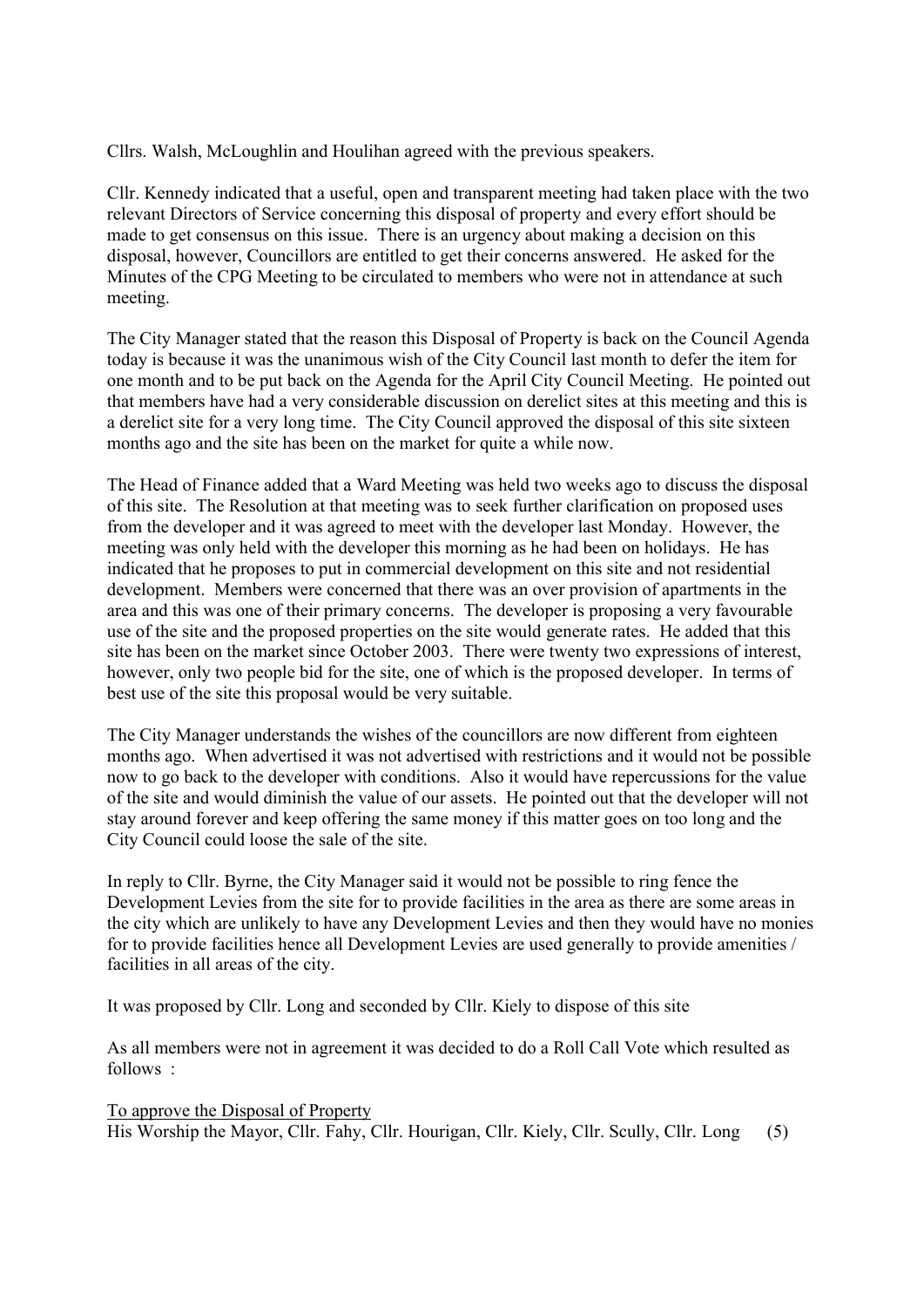Cllrs. Walsh, McLoughlin and Houlihan agreed with the previous speakers.

Cllr. Kennedy indicated that a useful, open and transparent meeting had taken place with the two relevant Directors of Service concerning this disposal of property and every effort should be made to get consensus on this issue. There is an urgency about making a decision on this disposal, however, Councillors are entitled to get their concerns answered. He asked for the Minutes of the CPG Meeting to be circulated to members who were not in attendance at such meeting.

The City Manager stated that the reason this Disposal of Property is back on the Council Agenda today is because it was the unanimous wish of the City Council last month to defer the item for one month and to be put back on the Agenda for the April City Council Meeting. He pointed out that members have had a very considerable discussion on derelict sites at this meeting and this is a derelict site for a very long time. The City Council approved the disposal of this site sixteen months ago and the site has been on the market for quite a while now.

The Head of Finance added that a Ward Meeting was held two weeks ago to discuss the disposal of this site. The Resolution at that meeting was to seek further clarification on proposed uses from the developer and it was agreed to meet with the developer last Monday. However, the meeting was only held with the developer this morning as he had been on holidays. He has indicated that he proposes to put in commercial development on this site and not residential development. Members were concerned that there was an over provision of apartments in the area and this was one of their primary concerns. The developer is proposing a very favourable use of the site and the proposed properties on the site would generate rates. He added that this site has been on the market since October 2003. There were twenty two expressions of interest, however, only two people bid for the site, one of which is the proposed developer. In terms of best use of the site this proposal would be very suitable.

The City Manager understands the wishes of the councillors are now different from eighteen months ago. When advertised it was not advertised with restrictions and it would not be possible now to go back to the developer with conditions. Also it would have repercussions for the value of the site and would diminish the value of our assets. He pointed out that the developer will not stay around forever and keep offering the same money if this matter goes on too long and the City Council could loose the sale of the site.

In reply to Cllr. Byrne, the City Manager said it would not be possible to ring fence the Development Levies from the site for to provide facilities in the area as there are some areas in the city which are unlikely to have any Development Levies and then they would have no monies for to provide facilities hence all Development Levies are used generally to provide amenities / facilities in all areas of the city.

It was proposed by Cllr. Long and seconded by Cllr. Kiely to dispose of this site

As all members were not in agreement it was decided to do a Roll Call Vote which resulted as follows :

To approve the Disposal of Property His Worship the Mayor, Cllr. Fahy, Cllr. Hourigan, Cllr. Kiely, Cllr. Scully, Cllr. Long (5)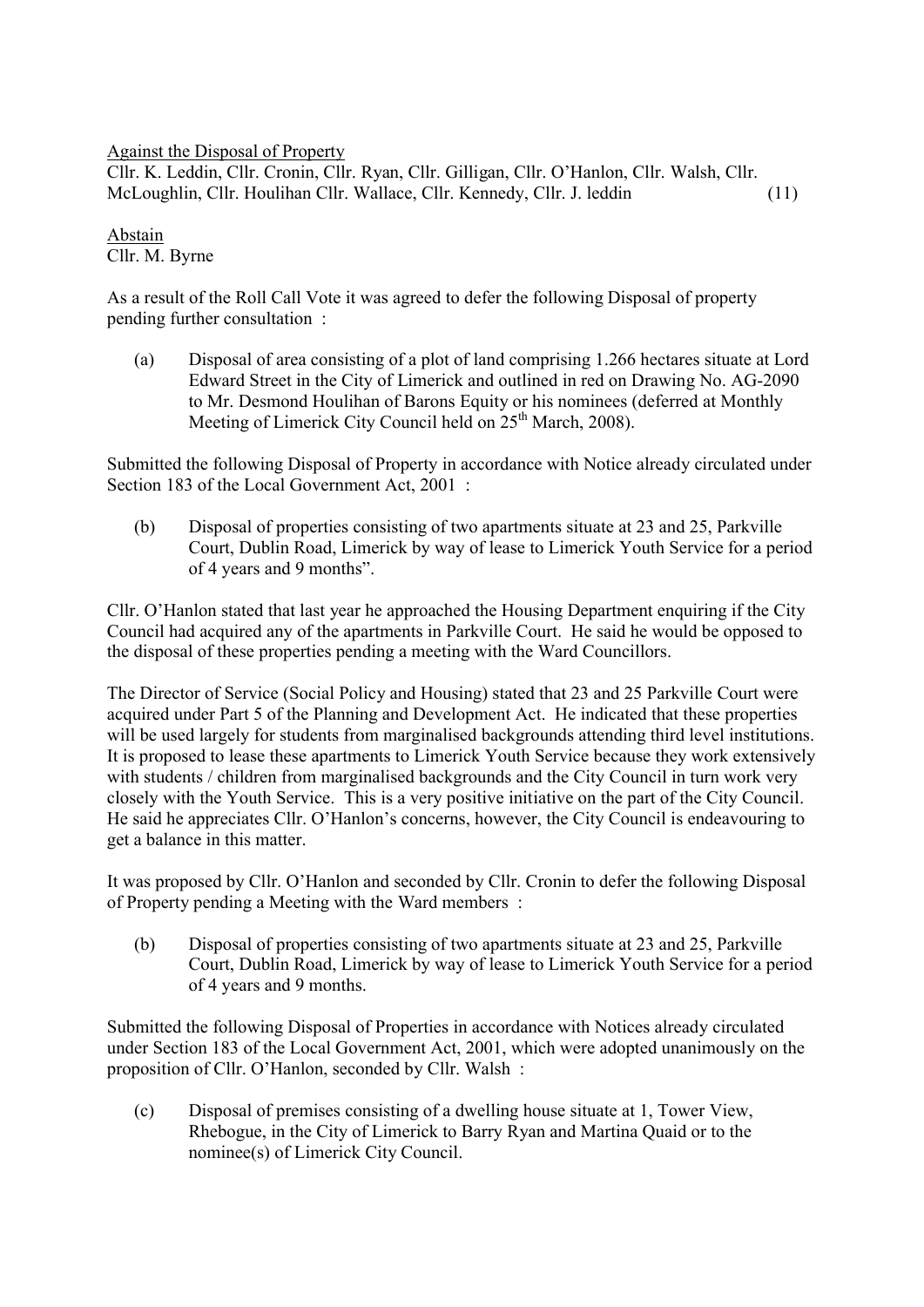Against the Disposal of Property

Cllr. K. Leddin, Cllr. Cronin, Cllr. Ryan, Cllr. Gilligan, Cllr. O'Hanlon, Cllr. Walsh, Cllr. McLoughlin, Cllr. Houlihan Cllr. Wallace, Cllr. Kennedy, Cllr. J. leddin (11)

Abstain Cllr. M. Byrne

As a result of the Roll Call Vote it was agreed to defer the following Disposal of property pending further consultation :

(a) Disposal of area consisting of a plot of land comprising 1.266 hectares situate at Lord Edward Street in the City of Limerick and outlined in red on Drawing No. AG-2090 to Mr. Desmond Houlihan of Barons Equity or his nominees (deferred at Monthly Meeting of Limerick City Council held on  $25<sup>th</sup>$  March, 2008).

Submitted the following Disposal of Property in accordance with Notice already circulated under Section 183 of the Local Government Act, 2001 :

(b) Disposal of properties consisting of two apartments situate at 23 and 25, Parkville Court, Dublin Road, Limerick by way of lease to Limerick Youth Service for a period of 4 years and 9 months".

Cllr. O'Hanlon stated that last year he approached the Housing Department enquiring if the City Council had acquired any of the apartments in Parkville Court. He said he would be opposed to the disposal of these properties pending a meeting with the Ward Councillors.

The Director of Service (Social Policy and Housing) stated that 23 and 25 Parkville Court were acquired under Part 5 of the Planning and Development Act. He indicated that these properties will be used largely for students from marginalised backgrounds attending third level institutions. It is proposed to lease these apartments to Limerick Youth Service because they work extensively with students / children from marginalised backgrounds and the City Council in turn work very closely with the Youth Service. This is a very positive initiative on the part of the City Council. He said he appreciates Cllr. O'Hanlon's concerns, however, the City Council is endeavouring to get a balance in this matter.

It was proposed by Cllr. O'Hanlon and seconded by Cllr. Cronin to defer the following Disposal of Property pending a Meeting with the Ward members :

(b) Disposal of properties consisting of two apartments situate at 23 and 25, Parkville Court, Dublin Road, Limerick by way of lease to Limerick Youth Service for a period of 4 years and 9 months.

Submitted the following Disposal of Properties in accordance with Notices already circulated under Section 183 of the Local Government Act, 2001, which were adopted unanimously on the proposition of Cllr. O'Hanlon, seconded by Cllr. Walsh :

(c) Disposal of premises consisting of a dwelling house situate at 1, Tower View, Rhebogue, in the City of Limerick to Barry Ryan and Martina Quaid or to the nominee(s) of Limerick City Council.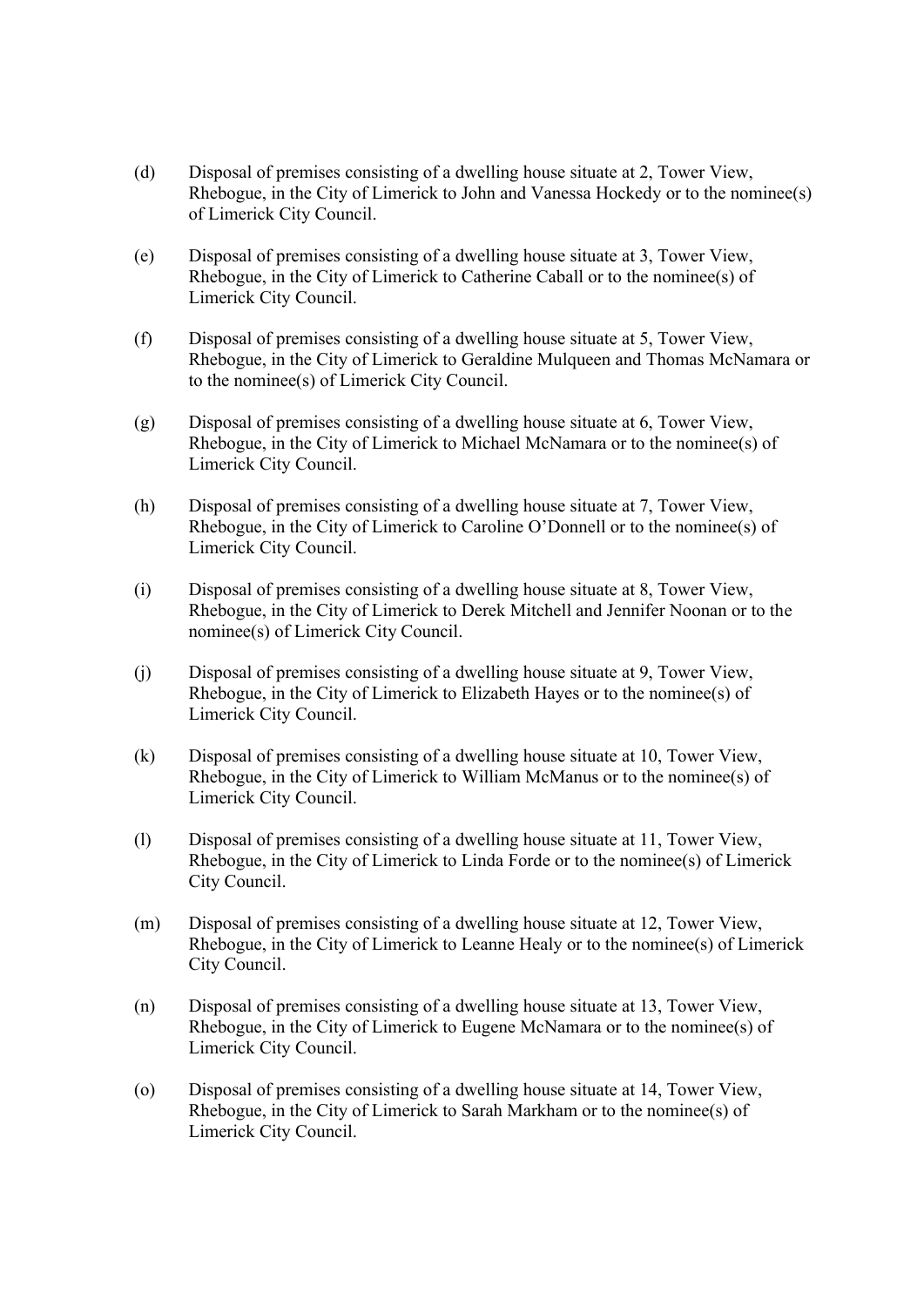- (d) Disposal of premises consisting of a dwelling house situate at 2, Tower View, Rhebogue, in the City of Limerick to John and Vanessa Hockedy or to the nominee(s) of Limerick City Council.
- (e) Disposal of premises consisting of a dwelling house situate at 3, Tower View, Rhebogue, in the City of Limerick to Catherine Caball or to the nominee(s) of Limerick City Council.
- (f) Disposal of premises consisting of a dwelling house situate at 5, Tower View, Rhebogue, in the City of Limerick to Geraldine Mulqueen and Thomas McNamara or to the nominee(s) of Limerick City Council.
- (g) Disposal of premises consisting of a dwelling house situate at 6, Tower View, Rhebogue, in the City of Limerick to Michael McNamara or to the nominee(s) of Limerick City Council.
- (h) Disposal of premises consisting of a dwelling house situate at 7, Tower View, Rhebogue, in the City of Limerick to Caroline O'Donnell or to the nominee(s) of Limerick City Council.
- (i) Disposal of premises consisting of a dwelling house situate at 8, Tower View, Rhebogue, in the City of Limerick to Derek Mitchell and Jennifer Noonan or to the nominee(s) of Limerick City Council.
- (j) Disposal of premises consisting of a dwelling house situate at 9, Tower View, Rhebogue, in the City of Limerick to Elizabeth Hayes or to the nominee(s) of Limerick City Council.
- (k) Disposal of premises consisting of a dwelling house situate at 10, Tower View, Rhebogue, in the City of Limerick to William McManus or to the nominee(s) of Limerick City Council.
- (l) Disposal of premises consisting of a dwelling house situate at 11, Tower View, Rhebogue, in the City of Limerick to Linda Forde or to the nominee(s) of Limerick City Council.
- (m) Disposal of premises consisting of a dwelling house situate at 12, Tower View, Rhebogue, in the City of Limerick to Leanne Healy or to the nominee(s) of Limerick City Council.
- (n) Disposal of premises consisting of a dwelling house situate at 13, Tower View, Rhebogue, in the City of Limerick to Eugene McNamara or to the nominee(s) of Limerick City Council.
- (o) Disposal of premises consisting of a dwelling house situate at 14, Tower View, Rhebogue, in the City of Limerick to Sarah Markham or to the nominee(s) of Limerick City Council.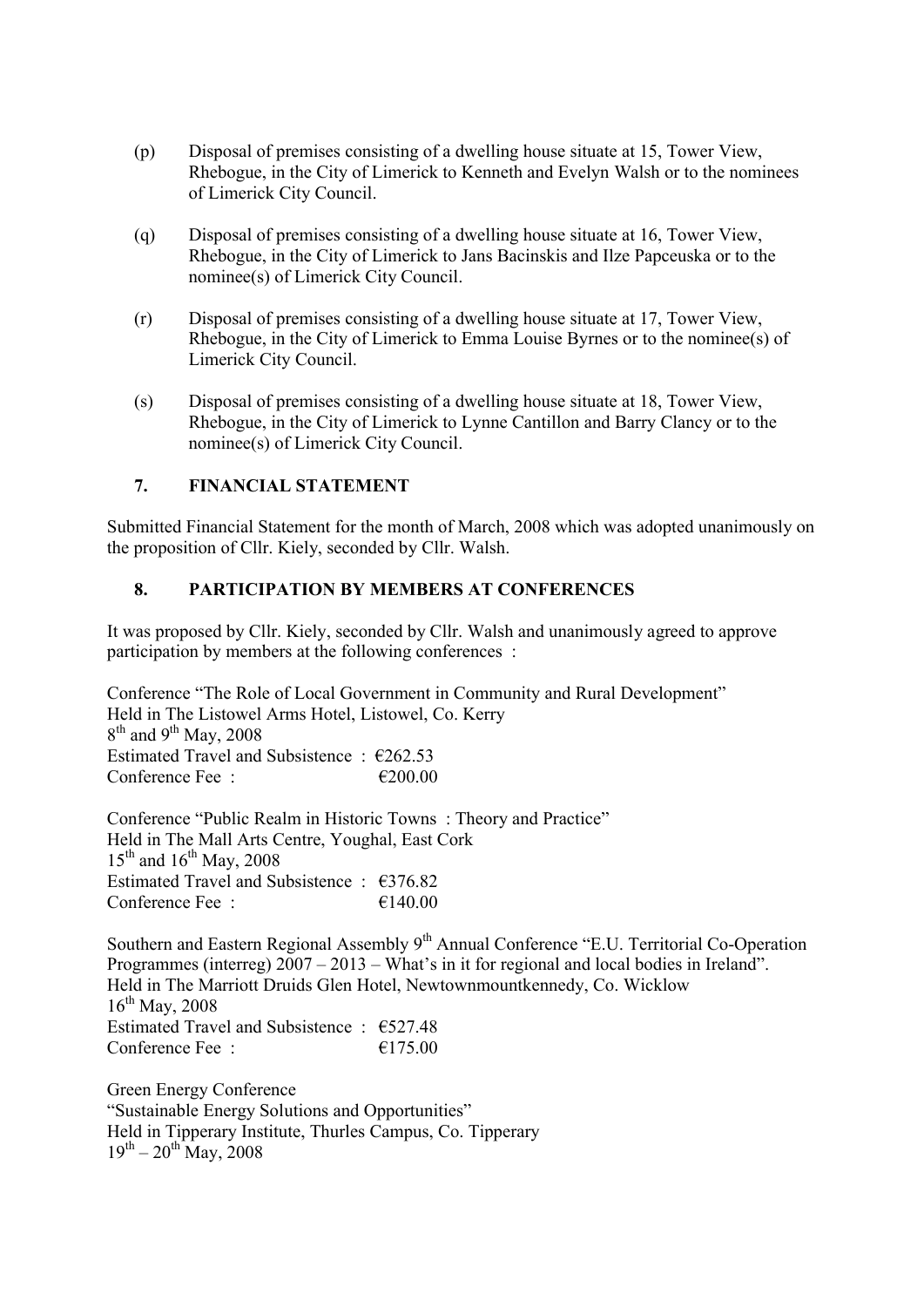- (p) Disposal of premises consisting of a dwelling house situate at 15, Tower View, Rhebogue, in the City of Limerick to Kenneth and Evelyn Walsh or to the nominees of Limerick City Council.
- (q) Disposal of premises consisting of a dwelling house situate at 16, Tower View, Rhebogue, in the City of Limerick to Jans Bacinskis and Ilze Papceuska or to the nominee(s) of Limerick City Council.
- (r) Disposal of premises consisting of a dwelling house situate at 17, Tower View, Rhebogue, in the City of Limerick to Emma Louise Byrnes or to the nominee(s) of Limerick City Council.
- (s) Disposal of premises consisting of a dwelling house situate at 18, Tower View, Rhebogue, in the City of Limerick to Lynne Cantillon and Barry Clancy or to the nominee(s) of Limerick City Council.

## **7. FINANCIAL STATEMENT**

Submitted Financial Statement for the month of March, 2008 which was adopted unanimously on the proposition of Cllr. Kiely, seconded by Cllr. Walsh.

### **8. PARTICIPATION BY MEMBERS AT CONFERENCES**

It was proposed by Cllr. Kiely, seconded by Cllr. Walsh and unanimously agreed to approve participation by members at the following conferences :

Conference "The Role of Local Government in Community and Rural Development" Held in The Listowel Arms Hotel, Listowel, Co. Kerry  $8<sup>th</sup>$  and  $9<sup>th</sup>$  May, 2008 Estimated Travel and Subsistence :  $\epsilon$ 262.53 Conference Fee :  $\epsilon$  200.00

Conference "Public Realm in Historic Towns : Theory and Practice" Held in The Mall Arts Centre, Youghal, East Cork  $15^{th}$  and  $16^{th}$  May, 2008 Estimated Travel and Subsistence : €376.82 Conference Fee :  $\epsilon$  140.00

Southern and Eastern Regional Assembly 9<sup>th</sup> Annual Conference "E.U. Territorial Co-Operation Programmes (interreg) 2007 – 2013 – What's in it for regional and local bodies in Ireland". Held in The Marriott Druids Glen Hotel, Newtownmountkennedy, Co. Wicklow  $16^{th}$  May, 2008 Estimated Travel and Subsistence : €527.48 Conference Fee :  $\epsilon$  175.00

Green Energy Conference "Sustainable Energy Solutions and Opportunities" Held in Tipperary Institute, Thurles Campus, Co. Tipperary  $19^{th} - 20^{th}$  May, 2008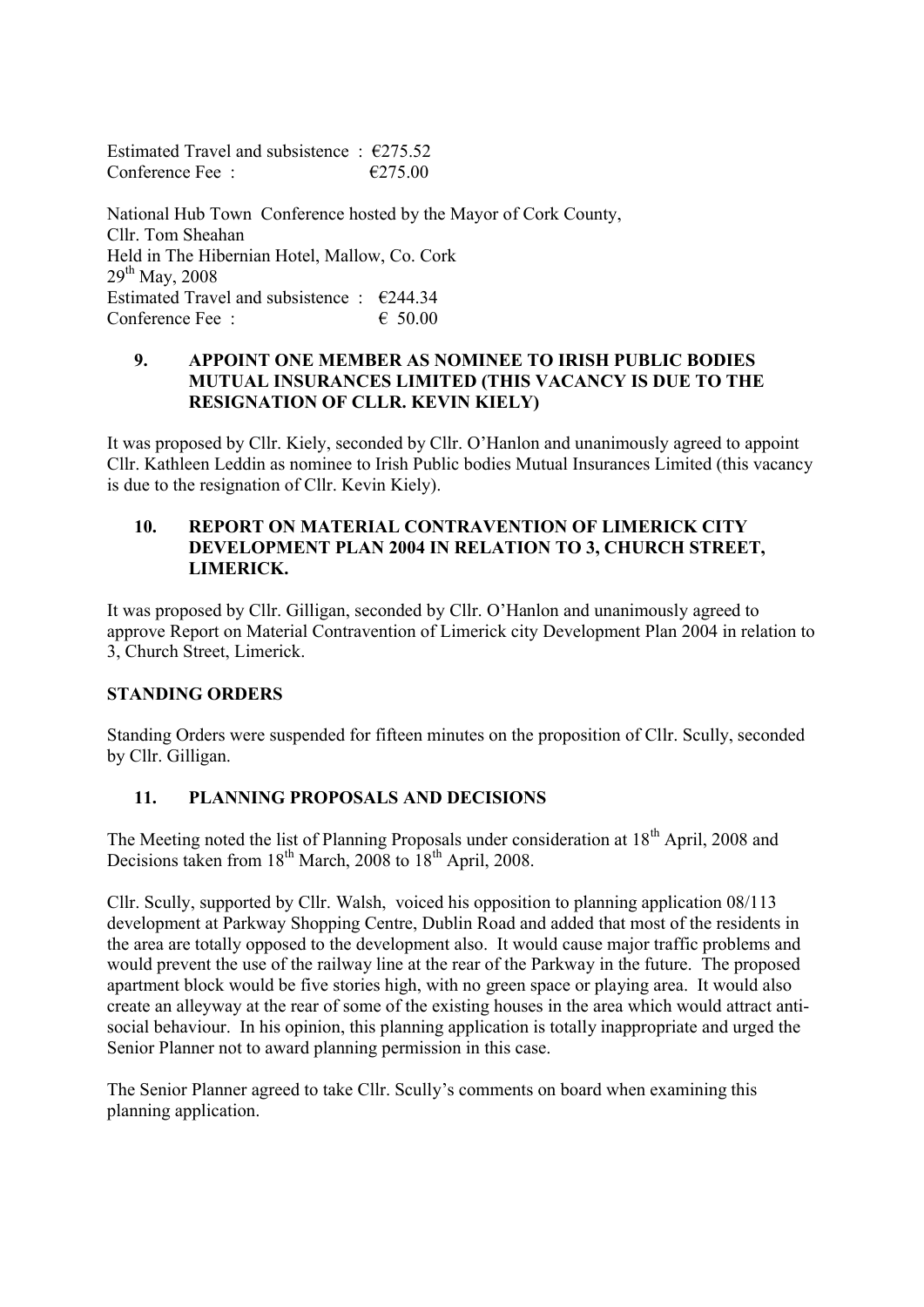Estimated Travel and subsistence  $\cdot$  €275.52 Conference Fee :  $\epsilon$  275.00

National Hub Town Conference hosted by the Mayor of Cork County, Cllr. Tom Sheahan Held in The Hibernian Hotel, Mallow, Co. Cork  $29^{th}$  May, 2008 Estimated Travel and subsistence :  $\epsilon$ 244.34 Conference Fee :  $\epsilon$  50.00

#### **9. APPOINT ONE MEMBER AS NOMINEE TO IRISH PUBLIC BODIES MUTUAL INSURANCES LIMITED (THIS VACANCY IS DUE TO THE RESIGNATION OF CLLR. KEVIN KIELY)**

It was proposed by Cllr. Kiely, seconded by Cllr. O'Hanlon and unanimously agreed to appoint Cllr. Kathleen Leddin as nominee to Irish Public bodies Mutual Insurances Limited (this vacancy is due to the resignation of Cllr. Kevin Kiely).

#### **10. REPORT ON MATERIAL CONTRAVENTION OF LIMERICK CITY DEVELOPMENT PLAN 2004 IN RELATION TO 3, CHURCH STREET, LIMERICK.**

It was proposed by Cllr. Gilligan, seconded by Cllr. O'Hanlon and unanimously agreed to approve Report on Material Contravention of Limerick city Development Plan 2004 in relation to 3, Church Street, Limerick.

### **STANDING ORDERS**

Standing Orders were suspended for fifteen minutes on the proposition of Cllr. Scully, seconded by Cllr. Gilligan.

### **11. PLANNING PROPOSALS AND DECISIONS**

The Meeting noted the list of Planning Proposals under consideration at 18<sup>th</sup> April, 2008 and Decisions taken from  $18^{th}$  March, 2008 to  $18^{th}$  April, 2008.

Cllr. Scully, supported by Cllr. Walsh, voiced his opposition to planning application 08/113 development at Parkway Shopping Centre, Dublin Road and added that most of the residents in the area are totally opposed to the development also. It would cause major traffic problems and would prevent the use of the railway line at the rear of the Parkway in the future. The proposed apartment block would be five stories high, with no green space or playing area. It would also create an alleyway at the rear of some of the existing houses in the area which would attract antisocial behaviour. In his opinion, this planning application is totally inappropriate and urged the Senior Planner not to award planning permission in this case.

The Senior Planner agreed to take Cllr. Scully's comments on board when examining this planning application.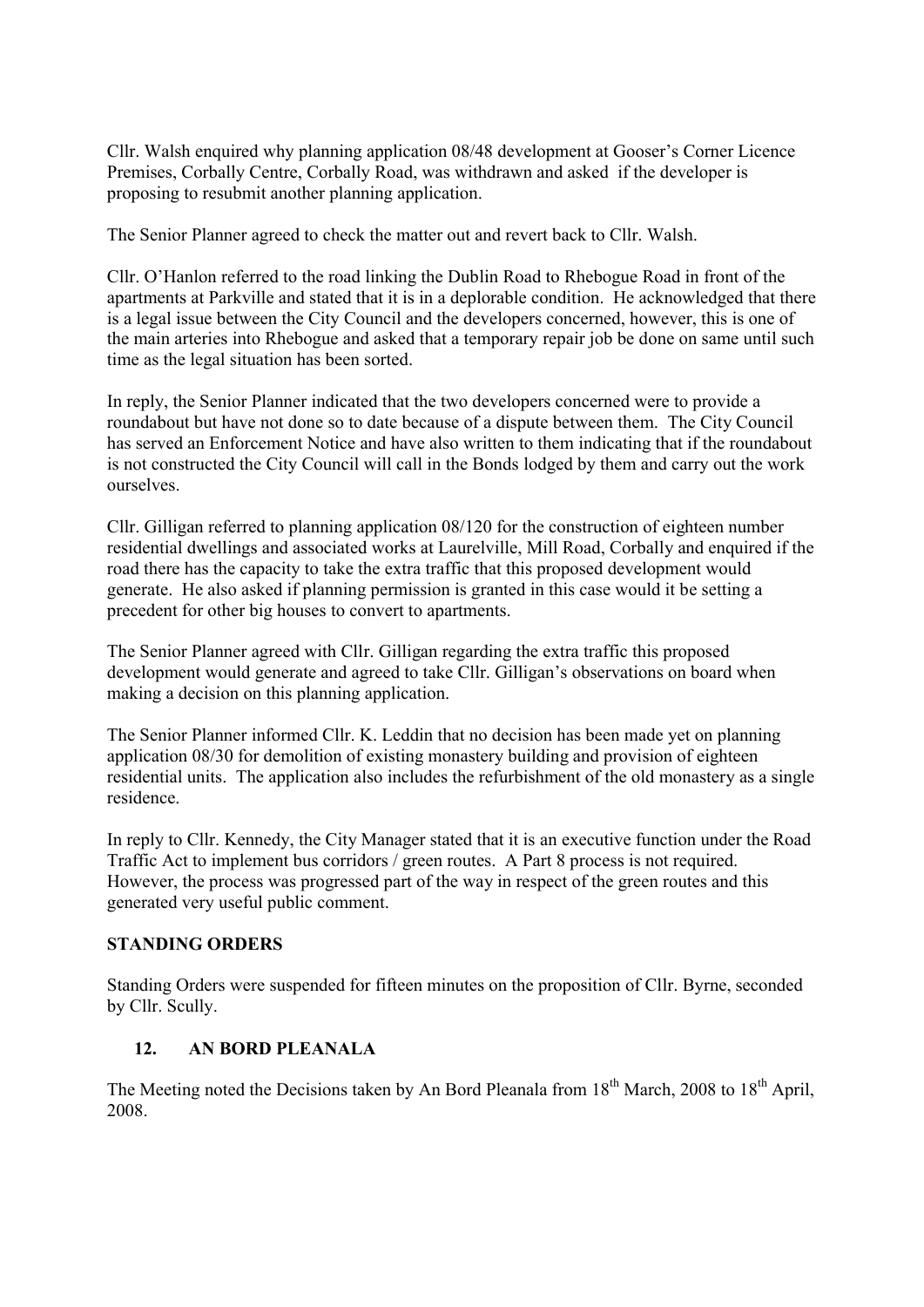Cllr. Walsh enquired why planning application 08/48 development at Gooser's Corner Licence Premises, Corbally Centre, Corbally Road, was withdrawn and asked if the developer is proposing to resubmit another planning application.

The Senior Planner agreed to check the matter out and revert back to Cllr. Walsh.

Cllr. O'Hanlon referred to the road linking the Dublin Road to Rhebogue Road in front of the apartments at Parkville and stated that it is in a deplorable condition. He acknowledged that there is a legal issue between the City Council and the developers concerned, however, this is one of the main arteries into Rhebogue and asked that a temporary repair job be done on same until such time as the legal situation has been sorted.

In reply, the Senior Planner indicated that the two developers concerned were to provide a roundabout but have not done so to date because of a dispute between them. The City Council has served an Enforcement Notice and have also written to them indicating that if the roundabout is not constructed the City Council will call in the Bonds lodged by them and carry out the work ourselves.

Cllr. Gilligan referred to planning application 08/120 for the construction of eighteen number residential dwellings and associated works at Laurelville, Mill Road, Corbally and enquired if the road there has the capacity to take the extra traffic that this proposed development would generate. He also asked if planning permission is granted in this case would it be setting a precedent for other big houses to convert to apartments.

The Senior Planner agreed with Cllr. Gilligan regarding the extra traffic this proposed development would generate and agreed to take Cllr. Gilligan's observations on board when making a decision on this planning application.

The Senior Planner informed Cllr. K. Leddin that no decision has been made yet on planning application 08/30 for demolition of existing monastery building and provision of eighteen residential units. The application also includes the refurbishment of the old monastery as a single residence.

In reply to Cllr. Kennedy, the City Manager stated that it is an executive function under the Road Traffic Act to implement bus corridors / green routes. A Part 8 process is not required. However, the process was progressed part of the way in respect of the green routes and this generated very useful public comment.

### **STANDING ORDERS**

Standing Orders were suspended for fifteen minutes on the proposition of Cllr. Byrne, seconded by Cllr. Scully.

# **12. AN BORD PLEANALA**

The Meeting noted the Decisions taken by An Bord Pleanala from 18<sup>th</sup> March, 2008 to 18<sup>th</sup> April, 2008.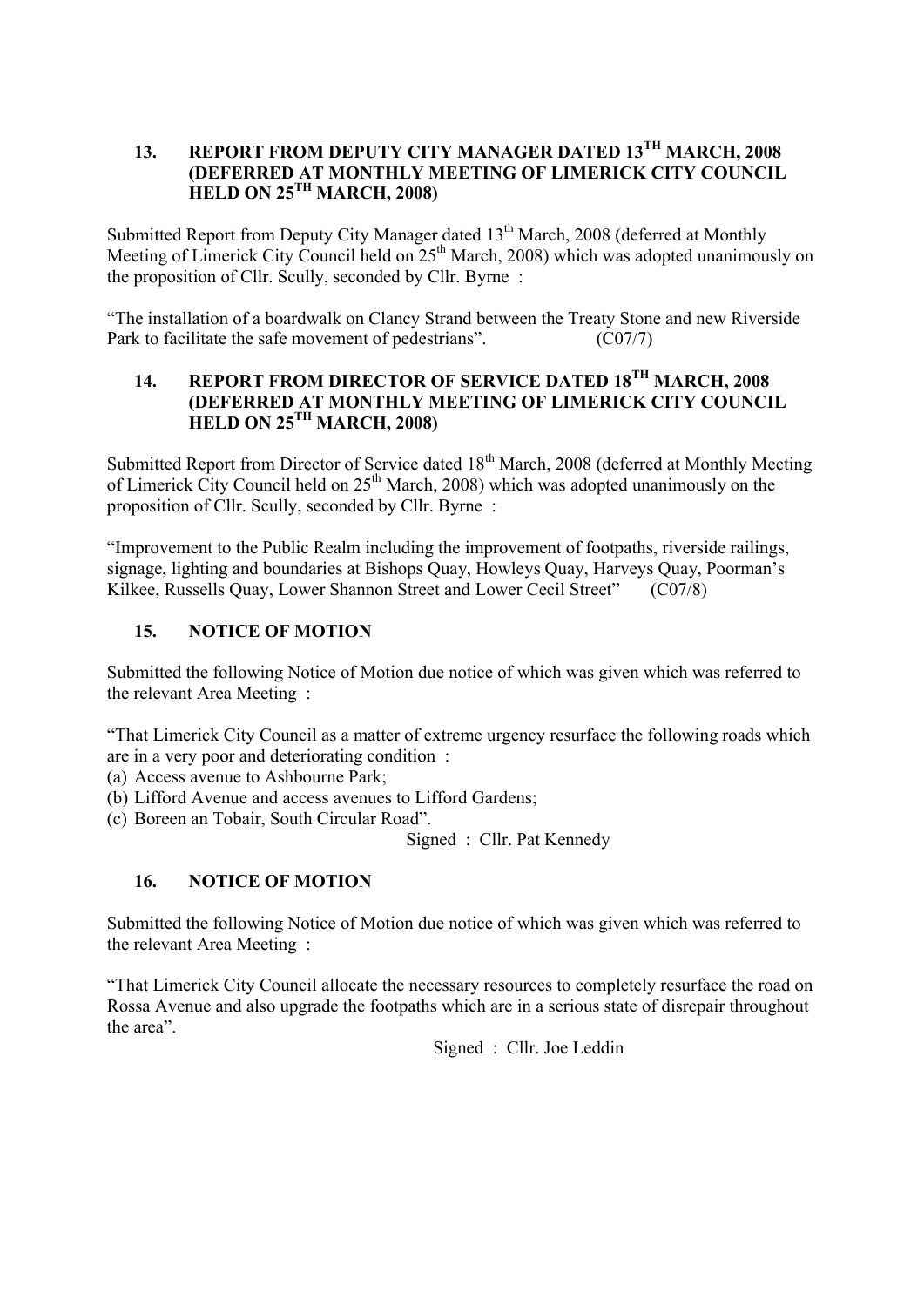## **13. REPORT FROM DEPUTY CITY MANAGER DATED 13TH MARCH, 2008 (DEFERRED AT MONTHLY MEETING OF LIMERICK CITY COUNCIL HELD ON 25TH MARCH, 2008)**

Submitted Report from Deputy City Manager dated  $13<sup>th</sup>$  March, 2008 (deferred at Monthly Meeting of Limerick City Council held on  $25<sup>th</sup>$  March, 2008) which was adopted unanimously on the proposition of Cllr. Scully, seconded by Cllr. Byrne :

"The installation of a boardwalk on Clancy Strand between the Treaty Stone and new Riverside Park to facilitate the safe movement of pedestrians". (C07/7)

## **14. REPORT FROM DIRECTOR OF SERVICE DATED 18TH MARCH, 2008 (DEFERRED AT MONTHLY MEETING OF LIMERICK CITY COUNCIL HELD ON 25TH MARCH, 2008)**

Submitted Report from Director of Service dated 18<sup>th</sup> March, 2008 (deferred at Monthly Meeting of Limerick City Council held on  $25<sup>th</sup>$  March, 2008) which was adopted unanimously on the proposition of Cllr. Scully, seconded by Cllr. Byrne :

"Improvement to the Public Realm including the improvement of footpaths, riverside railings, signage, lighting and boundaries at Bishops Quay, Howleys Quay, Harveys Quay, Poorman's Kilkee, Russells Quay, Lower Shannon Street and Lower Cecil Street" (C07/8)

## **15. NOTICE OF MOTION**

Submitted the following Notice of Motion due notice of which was given which was referred to the relevant Area Meeting :

"That Limerick City Council as a matter of extreme urgency resurface the following roads which are in a very poor and deteriorating condition :

- (a) Access avenue to Ashbourne Park;
- (b) Lifford Avenue and access avenues to Lifford Gardens;
- (c) Boreen an Tobair, South Circular Road".

Signed : Cllr. Pat Kennedy

# **16. NOTICE OF MOTION**

Submitted the following Notice of Motion due notice of which was given which was referred to the relevant Area Meeting :

"That Limerick City Council allocate the necessary resources to completely resurface the road on Rossa Avenue and also upgrade the footpaths which are in a serious state of disrepair throughout the area".

Signed : Cllr. Joe Leddin